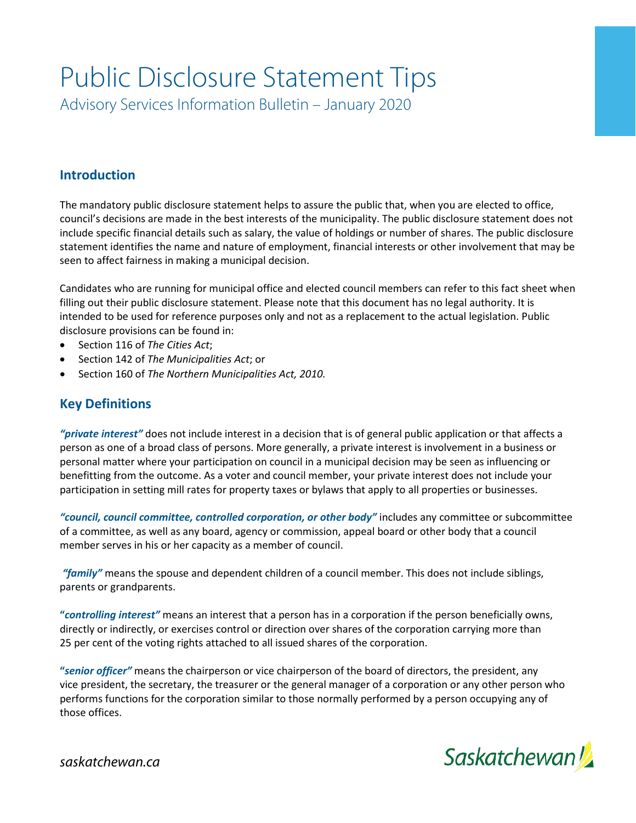# Public Disclosure Statement Tips

Advisory Services Information Bulletin – January 2020

## **Introduction**

The mandatory public disclosure statement helps to assure the public that, when you are elected to office, council's decisions are made in the best interests of the municipality. The public disclosure statement does not include specific financial details such as salary, the value of holdings or number of shares. The public disclosure statement identifies the name and nature of employment, financial interests or other involvement that may be seen to affect fairness in making a municipal decision.

Candidates who are running for municipal office and elected council members can refer to this fact sheet when filling out their public disclosure statement. Please note that this document has no legal authority. It is intended to be used for reference purposes only and not as a replacement to the actual legislation. Public disclosure provisions can be found in:

- Section 116 of *The Cities Act*;
- Section 142 of *The Municipalities Act*; or
- Section 160 of *The Northern Municipalities Act, 2010.*

## **Key Definitions**

*"private interest"* does not include interest in a decision that is of general public application or that affects a person as one of a broad class of persons. More generally, a private interest is involvement in a business or personal matter where your participation on council in a municipal decision may be seen as influencing or benefitting from the outcome. As a voter and council member, your private interest does not include your participation in setting mill rates for property taxes or bylaws that apply to all properties or businesses.

*"council, council committee, controlled corporation, or other body"* includes any committee or subcommittee of a committee, as well as any board, agency or commission, appeal board or other body that a council member serves in his or her capacity as a member of council.

*"family"* means the spouse and dependent children of a council member. This does not include siblings, parents or grandparents.

**"***controlling interest"* means an interest that a person has in a corporation if the person beneficially owns, directly or indirectly, or exercises control or direction over shares of the corporation carrying more than 25 per cent of the voting rights attached to all issued shares of the corporation.

**"***senior officer"* means the chairperson or vice chairperson of the board of directors, the president, any vice president, the secretary, the treasurer or the general manager of a corporation or any other person who performs functions for the corporation similar to those normally performed by a person occupying any of those offices.



*saskatchewan.ca*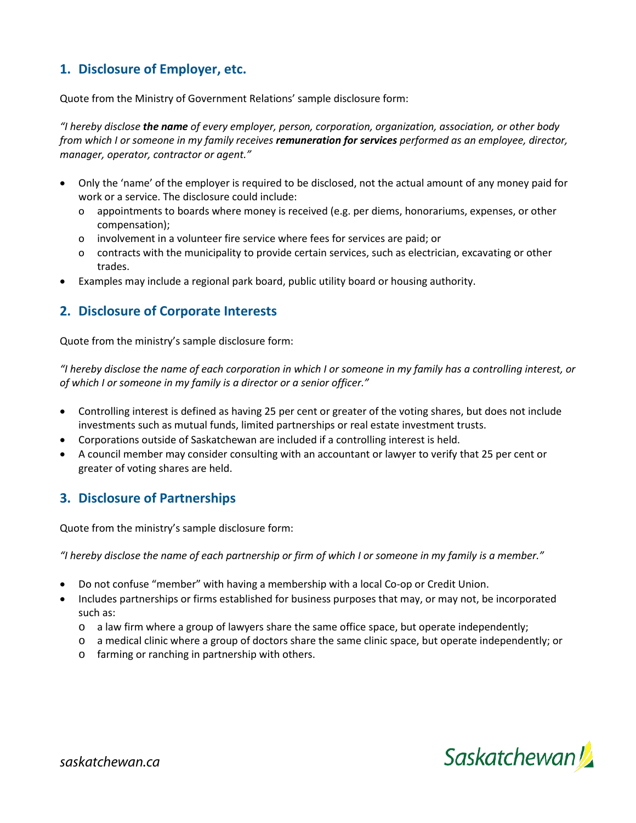# **1. Disclosure of Employer, etc.**

Quote from the Ministry of Government Relations' sample disclosure form:

*"I hereby disclose the name of every employer, person, corporation, organization, association, or other body from which I or someone in my family receives remuneration for services performed as an employee, director, manager, operator, contractor or agent."*

- Only the 'name' of the employer is required to be disclosed, not the actual amount of any money paid for work or a service. The disclosure could include:
	- o appointments to boards where money is received (e.g. per diems, honorariums, expenses, or other compensation);
	- o involvement in a volunteer fire service where fees for services are paid; or
	- o contracts with the municipality to provide certain services, such as electrician, excavating or other trades.
- Examples may include a regional park board, public utility board or housing authority.

#### **2. Disclosure of Corporate Interests**

Quote from the ministry's sample disclosure form:

*"I hereby disclose the name of each corporation in which I or someone in my family has a controlling interest, or of which I or someone in my family is a director or a senior officer."*

- Controlling interest is defined as having 25 per cent or greater of the voting shares, but does not include investments such as mutual funds, limited partnerships or real estate investment trusts.
- Corporations outside of Saskatchewan are included if a controlling interest is held.
- A council member may consider consulting with an accountant or lawyer to verify that 25 per cent or greater of voting shares are held.

#### **3. Disclosure of Partnerships**

Quote from the ministry's sample disclosure form:

*"I hereby disclose the name of each partnership or firm of which I or someone in my family is a member."*

- Do not confuse "member" with having a membership with a local Co-op or Credit Union.
- Includes partnerships or firms established for business purposes that may, or may not, be incorporated such as:
	- o a law firm where a group of lawyers share the same office space, but operate independently;
	- o a medical clinic where a group of doctors share the same clinic space, but operate independently; or
	- o farming or ranching in partnership with others.

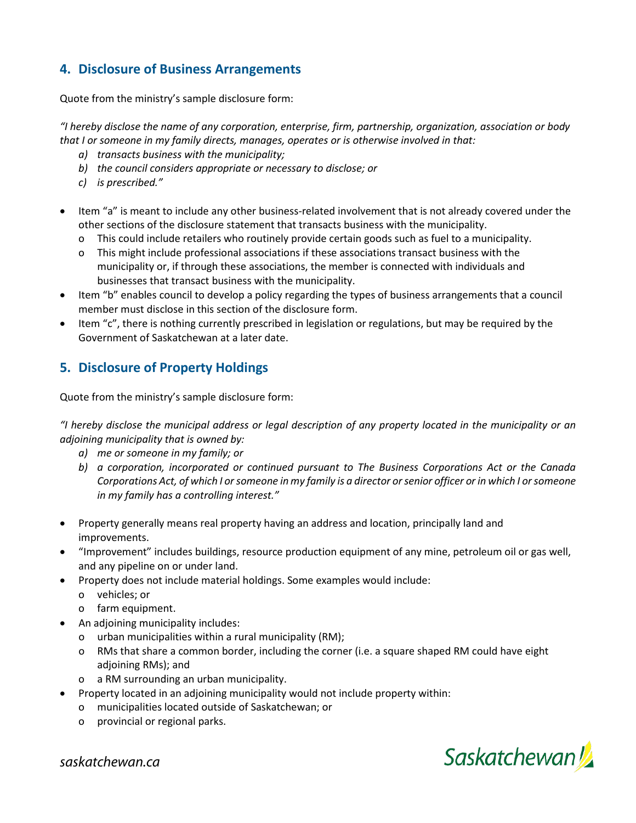## **4. Disclosure of Business Arrangements**

Quote from the ministry's sample disclosure form:

*"I hereby disclose the name of any corporation, enterprise, firm, partnership, organization, association or body that I or someone in my family directs, manages, operates or is otherwise involved in that:*

- *a) transacts business with the municipality;*
- *b) the council considers appropriate or necessary to disclose; or*
- *c) is prescribed."*
- Item "a" is meant to include any other business-related involvement that is not already covered under the other sections of the disclosure statement that transacts business with the municipality.
	- o This could include retailers who routinely provide certain goods such as fuel to a municipality.
	- o This might include professional associations if these associations transact business with the municipality or, if through these associations, the member is connected with individuals and businesses that transact business with the municipality.
- Item "b" enables council to develop a policy regarding the types of business arrangements that a council member must disclose in this section of the disclosure form.
- Item "c", there is nothing currently prescribed in legislation or regulations, but may be required by the Government of Saskatchewan at a later date.

## **5. Disclosure of Property Holdings**

Quote from the ministry's sample disclosure form:

*"I hereby disclose the municipal address or legal description of any property located in the municipality or an adjoining municipality that is owned by:*

- *a) me or someone in my family; or*
- *b) a corporation, incorporated or continued pursuant to The Business Corporations Act or the Canada Corporations Act, of which I or someone in my family is a director or senior officer or in which I or someone in my family has a controlling interest."*
- Property generally means real property having an address and location, principally land and improvements.
- "Improvement" includes buildings, resource production equipment of any mine, petroleum oil or gas well, and any pipeline on or under land.
- Property does not include material holdings. Some examples would include:
	- o vehicles; or
	- o farm equipment.
- An adjoining municipality includes:
	- o urban municipalities within a rural municipality (RM);
	- o RMs that share a common border, including the corner (i.e. a square shaped RM could have eight adjoining RMs); and
	- o a RM surrounding an urban municipality.
- Property located in an adjoining municipality would not include property within:
	- o municipalities located outside of Saskatchewan; or
	- o provincial or regional parks.